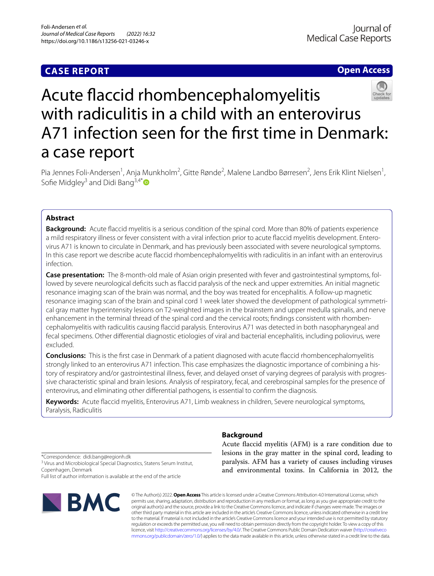# **CASE REPORT**

## **Open Access**



# Acute faccid rhombencephalomyelitis with radiculitis in a child with an enterovirus A71 infection seen for the frst time in Denmark: a case report

Pia Jennes Foli-Andersen<sup>1</sup>, Anja Munkholm<sup>2</sup>, Gitte Rønde<sup>2</sup>, Malene Landbo Børresen<sup>2</sup>, Jens Erik Klint Nielsen<sup>1</sup>, Sofie Midgley<sup>3</sup> and Didi Bang<sup>3,4[\\*](http://orcid.org/0000-0002-7490-5369)</sup> $\bullet$ 

## **Abstract**

**Background:** Acute faccid myelitis is a serious condition of the spinal cord. More than 80% of patients experience a mild respiratory illness or fever consistent with a viral infection prior to acute flaccid myelitis development. Enterovirus A71 is known to circulate in Denmark, and has previously been associated with severe neurological symptoms. In this case report we describe acute faccid rhombencephalomyelitis with radiculitis in an infant with an enterovirus infection.

**Case presentation:** The 8-month-old male of Asian origin presented with fever and gastrointestinal symptoms, followed by severe neurological deficits such as flaccid paralysis of the neck and upper extremities. An initial magnetic resonance imaging scan of the brain was normal, and the boy was treated for encephalitis. A follow-up magnetic resonance imaging scan of the brain and spinal cord 1 week later showed the development of pathological symmetrical gray matter hyperintensity lesions on T2-weighted images in the brainstem and upper medulla spinalis, and nerve enhancement in the terminal thread of the spinal cord and the cervical roots; findings consistent with rhombencephalomyelitis with radiculitis causing faccid paralysis. Enterovirus A71 was detected in both nasopharyngeal and fecal specimens. Other diferential diagnostic etiologies of viral and bacterial encephalitis, including poliovirus, were excluded.

**Conclusions:** This is the frst case in Denmark of a patient diagnosed with acute faccid rhombencephalomyelitis strongly linked to an enterovirus A71 infection. This case emphasizes the diagnostic importance of combining a history of respiratory and/or gastrointestinal illness, fever, and delayed onset of varying degrees of paralysis with progressive characteristic spinal and brain lesions. Analysis of respiratory, fecal, and cerebrospinal samples for the presence of enterovirus, and eliminating other diferential pathogens, is essential to confrm the diagnosis.

**Keywords:** Acute faccid myelitis, Enterovirus A71, Limb weakness in children, Severe neurological symptoms, Paralysis, Radiculitis

## **Background**

Acute faccid myelitis (AFM) is a rare condition due to lesions in the gray matter in the spinal cord, leading to paralysis. AFM has a variety of causes including viruses and environmental toxins. In California in 2012, the

\*Correspondence: didi.bang@regionh.dk <sup>3</sup> Virus and Microbiological Special Diagnostics, Statens Serum Institut, Copenhagen, Denmark

Full list of author information is available at the end of the article



© The Author(s) 2022. **Open Access** This article is licensed under a Creative Commons Attribution 4.0 International License, which permits use, sharing, adaptation, distribution and reproduction in any medium or format, as long as you give appropriate credit to the original author(s) and the source, provide a link to the Creative Commons licence, and indicate if changes were made. The images or other third party material in this article are included in the article's Creative Commons licence, unless indicated otherwise in a credit line to the material. If material is not included in the article's Creative Commons licence and your intended use is not permitted by statutory regulation or exceeds the permitted use, you will need to obtain permission directly from the copyright holder. To view a copy of this licence, visit [http://creativecommons.org/licenses/by/4.0/.](http://creativecommons.org/licenses/by/4.0/) The Creative Commons Public Domain Dedication waiver ([http://creativeco](http://creativecommons.org/publicdomain/zero/1.0/) [mmons.org/publicdomain/zero/1.0/](http://creativecommons.org/publicdomain/zero/1.0/)) applies to the data made available in this article, unless otherwise stated in a credit line to the data.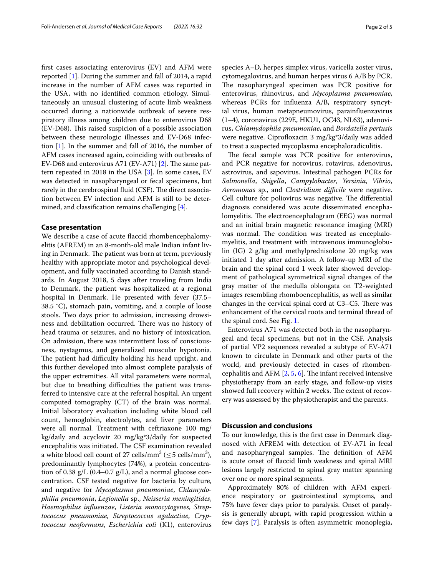frst cases associating enterovirus (EV) and AFM were reported [\[1\]](#page-3-0). During the summer and fall of 2014, a rapid increase in the number of AFM cases was reported in the USA, with no identifed common etiology. Simultaneously an unusual clustering of acute limb weakness occurred during a nationwide outbreak of severe respiratory illness among children due to enterovirus D68 (EV-D68). This raised suspicion of a possible association between these neurologic illnesses and EV-D68 infection [[1\]](#page-3-0). In the summer and fall of 2016, the number of AFM cases increased again, coinciding with outbreaks of EV-D68 and enterovirus A71 (EV-A71) [[2\]](#page-3-1). The same pattern repeated in 2018 in the USA [[3\]](#page-3-2). In some cases, EV was detected in nasopharyngeal or fecal specimens, but rarely in the cerebrospinal fluid (CSF). The direct association between EV infection and AFM is still to be determined, and classifcation remains challenging [\[4](#page-3-3)].

#### **Case presentation**

We describe a case of acute faccid rhombencephalomyelitis (AFREM) in an 8-month-old male Indian infant living in Denmark. The patient was born at term, previously healthy with appropriate motor and psychological development, and fully vaccinated according to Danish standards. In August 2018, 5 days after traveling from India to Denmark, the patient was hospitalized at a regional hospital in Denmark. He presented with fever (37.5– 38.5 °C), stomach pain, vomiting, and a couple of loose stools. Two days prior to admission, increasing drowsiness and debilitation occurred. There was no history of head trauma or seizures, and no history of intoxication. On admission, there was intermittent loss of consciousness, nystagmus, and generalized muscular hypotonia. The patient had difficulty holding his head upright, and this further developed into almost complete paralysis of the upper extremities. All vital parameters were normal, but due to breathing difficulties the patient was transferred to intensive care at the referral hospital. An urgent computed tomography (CT) of the brain was normal. Initial laboratory evaluation including white blood cell count, hemoglobin, electrolytes, and liver parameters were all normal. Treatment with ceftriaxone 100 mg/ kg/daily and acyclovir 20 mg/kg\*3/daily for suspected encephalitis was initiated. The CSF examination revealed a white blood cell count of 27 cells/mm<sup>3</sup> ( $\leq$  5 cells/mm<sup>3</sup>), predominantly lymphocytes (74%), a protein concentration of 0.38 g/L (0.4–0.7 g/L), and a normal glucose concentration. CSF tested negative for bacteria by culture, and negative for *Mycoplasma pneumoniae*, *Chlamydophilia pneumonia*, *Legionella* sp., *Neisseria meningitides*, *Haemophilus infuenzae*, *Listeria monocytogenes*, *Streptococcus pneumoniae*, *Streptococcus agalactiae*, *Cryptococcus neoformans*, *Escherichia coli* (K1), enterovirus

species A–D, herpes simplex virus, varicella zoster virus, cytomegalovirus, and human herpes virus 6 A/B by PCR. The nasopharyngeal specimen was PCR positive for enterovirus, rhinovirus, and *Mycoplasma pneumoniae*, whereas PCRs for infuenza A/B, respiratory syncytial virus, human metapneumovirus, parainfuenzavirus (1–4), coronavirus (229E, HKU1, OC43, NL63), adenovirus, *Chlamydophila pneumoniae*, and *Bordatella pertusis* were negative. Ciprofloxacin 3 mg/kg\*3/daily was added to treat a suspected mycoplasma encephaloradiculitis.

The fecal sample was PCR positive for enterovirus, and PCR negative for norovirus, rotavirus, adenovirus, astrovirus, and sapovirus. Intestinal pathogen PCRs for *Salmonella*, *Shigella*, *Campylobacter*, *Yersinia*, *Vibrio*, *Aeromonas* sp., and *Clostridium difficile* were negative. Cell culture for poliovirus was negative. The differential diagnosis considered was acute disseminated encephalomyelitis. The electroencephalogram (EEG) was normal and an initial brain magnetic resonance imaging (MRI) was normal. The condition was treated as encephalomyelitis, and treatment with intravenous immunoglobulin (IG) 2 g/kg and methylprednisolone 20 mg/kg was initiated 1 day after admission. A follow-up MRI of the brain and the spinal cord 1 week later showed development of pathological symmetrical signal changes of the gray matter of the medulla oblongata on T2-weighted images resembling rhomboencephalitis, as well as similar changes in the cervical spinal cord at  $C3-C5$ . There was enhancement of the cervical roots and terminal thread of the spinal cord. See Fig. [1](#page-2-0).

Enterovirus A71 was detected both in the nasopharyngeal and fecal specimens, but not in the CSF. Analysis of partial VP2 sequences revealed a subtype of EV-A71 known to circulate in Denmark and other parts of the world, and previously detected in cases of rhombencephalitis and AFM  $[2, 5, 6]$  $[2, 5, 6]$  $[2, 5, 6]$  $[2, 5, 6]$  $[2, 5, 6]$ . The infant received intensive physiotherapy from an early stage, and follow-up visits showed full recovery within 2 weeks. The extent of recovery was assessed by the physiotherapist and the parents.

## **Discussion and conclusions**

To our knowledge, this is the frst case in Denmark diagnosed with AFREM with detection of EV-A71 in fecal and nasopharyngeal samples. The definition of AFM is acute onset of faccid limb weakness and spinal MRI lesions largely restricted to spinal gray matter spanning over one or more spinal segments.

Approximately 80% of children with AFM experience respiratory or gastrointestinal symptoms, and 75% have fever days prior to paralysis. Onset of paralysis is generally abrupt, with rapid progression within a few days [[7\]](#page-3-6). Paralysis is often asymmetric monoplegia,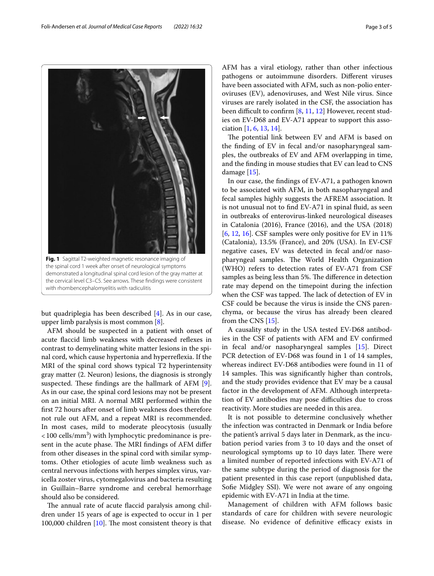

<span id="page-2-0"></span>but quadriplegia has been described [\[4](#page-3-3)]. As in our case, upper limb paralysis is most common [\[8](#page-3-7)].

AFM should be suspected in a patient with onset of acute faccid limb weakness with decreased refexes in contrast to demyelinating white matter lesions in the spinal cord, which cause hypertonia and hyperrefexia. If the MRI of the spinal cord shows typical T2 hyperintensity gray matter (2. Neuron) lesions, the diagnosis is strongly suspected. These findings are the hallmark of AFM  $[9]$  $[9]$ . As in our case, the spinal cord lesions may not be present on an initial MRI. A normal MRI performed within the frst 72 hours after onset of limb weakness does therefore not rule out AFM, and a repeat MRI is recommended. In most cases, mild to moderate pleocytosis (usually  $<$  100 cells/mm<sup>3</sup>) with lymphocytic predominance is present in the acute phase. The MRI findings of AFM differ from other diseases in the spinal cord with similar symptoms. Other etiologies of acute limb weakness such as central nervous infections with herpes simplex virus, varicella zoster virus, cytomegalovirus and bacteria resulting in Guillain–Barre syndrome and cerebral hemorrhage should also be considered.

The annual rate of acute flaccid paralysis among children under 15 years of age is expected to occur in 1 per 100,000 children  $[10]$  $[10]$ . The most consistent theory is that AFM has a viral etiology, rather than other infectious pathogens or autoimmune disorders. Diferent viruses have been associated with AFM, such as non-polio enteroviruses (EV), adenoviruses, and West Nile virus. Since viruses are rarely isolated in the CSF, the association has been difficult to confirm  $[8, 11, 12]$  $[8, 11, 12]$  $[8, 11, 12]$  $[8, 11, 12]$  $[8, 11, 12]$  However, recent studies on EV-D68 and EV-A71 appear to support this association  $[1, 6, 13, 14]$  $[1, 6, 13, 14]$  $[1, 6, 13, 14]$  $[1, 6, 13, 14]$  $[1, 6, 13, 14]$  $[1, 6, 13, 14]$  $[1, 6, 13, 14]$ .

The potential link between EV and AFM is based on the fnding of EV in fecal and/or nasopharyngeal samples, the outbreaks of EV and AFM overlapping in time, and the fnding in mouse studies that EV can lead to CNS damage [[15\]](#page-3-14).

In our case, the fndings of EV-A71, a pathogen known to be associated with AFM, in both nasopharyngeal and fecal samples highly suggests the AFREM association. It is not unusual not to fnd EV-A71 in spinal fuid, as seen in outbreaks of enterovirus-linked neurological diseases in Catalonia (2016), France (2016), and the USA (2018) [[6,](#page-3-5) [12,](#page-3-11) [16](#page-4-0)]. CSF samples were only positive for EV in 11% (Catalonia), 13.5% (France), and 20% (USA). In EV-CSF negative cases, EV was detected in fecal and/or nasopharyngeal samples. The World Health Organization (WHO) refers to detection rates of EV-A71 from CSF samples as being less than 5%. The difference in detection rate may depend on the timepoint during the infection when the CSF was tapped. The lack of detection of EV in CSF could be because the virus is inside the CNS parenchyma, or because the virus has already been cleared from the CNS [[15](#page-3-14)].

A causality study in the USA tested EV-D68 antibodies in the CSF of patients with AFM and EV confrmed in fecal and/or nasopharyngeal samples [\[15](#page-3-14)]. Direct PCR detection of EV-D68 was found in 1 of 14 samples, whereas indirect EV-D68 antibodies were found in 11 of 14 samples. This was significantly higher than controls, and the study provides evidence that EV may be a causal factor in the development of AFM. Although interpretation of EV antibodies may pose difficulties due to cross reactivity. More studies are needed in this area.

It is not possible to determine conclusively whether the infection was contracted in Denmark or India before the patient's arrival 5 days later in Denmark, as the incubation period varies from 3 to 10 days and the onset of neurological symptoms up to 10 days later. There were a limited number of reported infections with EV-A71 of the same subtype during the period of diagnosis for the patient presented in this case report (unpublished data, Sofe Midgley SSI). We were not aware of any ongoing epidemic with EV-A71 in India at the time.

Management of children with AFM follows basic standards of care for children with severe neurologic disease. No evidence of definitive efficacy exists in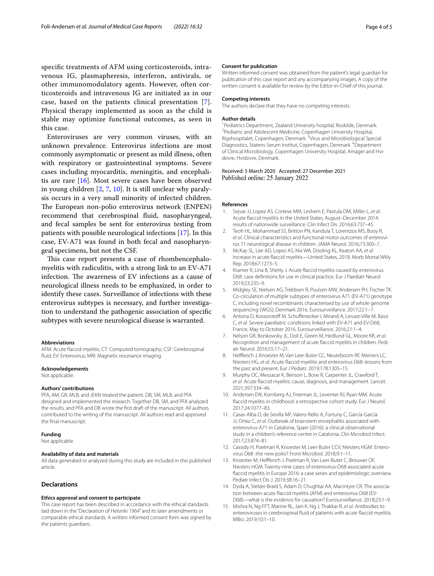specifc treatments of AFM using corticosteroids, intravenous IG, plasmapheresis, interferon, antivirals, or other immunomodulatory agents. However, often corticosteroids and intravenous IG are initiated as in our case, based on the patients clinical presentation [[7\]](#page-3-6). Physical therapy implemented as soon as the child is stable may optimize functional outcomes, as seen in this case.

Enteroviruses are very common viruses, with an unknown prevalence. Enterovirus infections are most commonly asymptomatic or present as mild illness, often with respiratory or gastrointestinal symptoms. Severe cases including myocarditis, meningitis, and encephalitis are rare [\[16](#page-4-0)]. Most severe cases have been observed in young children [\[2](#page-3-1), [7](#page-3-6), [10\]](#page-3-9). It is still unclear why paralysis occurs in a very small minority of infected children. The European non-polio enterovirus network (ENPEN) recommend that cerebrospinal fuid, nasopharyngeal, and fecal samples be sent for enterovirus testing from patients with possible neurological infections [[17\]](#page-4-1). In this case, EV-A71 was found in both fecal and nasopharyngeal specimens, but not the CSF.

This case report presents a case of rhombencephalomyelitis with radiculitis, with a strong link to an EV-A71 infection. The awareness of EV infections as a cause of neurological illness needs to be emphasized, in order to identify these cases. Surveillance of infections with these enterovirus subtypes is necessary, and further investigation to understand the pathogenic association of specifc subtypes with severe neurological disease is warranted.

#### **Abbreviations**

AFM: Acute faccid myelitis; CT: Computed tomography; CSF: Cerebrospinal fuid; EV: Enterovirus; MRI: Magnetic resonance imaging.

#### **Acknowledgements**

Not applicable.

#### **Authors' contributions**

PFA, AM, GR, MLB, and JEKN treated the patient. DB, SM, MLB, and PFA designed and implemented the research. Together DB, SM, and PFA analyzed the results, and PFA and DB wrote the frst draft of the manuscript. All authors contributed to the writing of the manuscript. All authors read and approved the fnal manuscript.

#### **Funding**

Not applicable.

#### **Availability of data and materials**

All data generated or analyzed during this study are included in this published article.

#### **Declarations**

#### **Ethics approval and consent to participate**

This case report has been described in accordance with the ethical standards laid down in the "Declaration of Helsinki 1964" and its later amendments or comparable ethical standards. A written informed consent form was signed by the patients guardians.

#### **Consent for publication**

Written informed consent was obtained from the patient's legal guardian for publication of this case report and any accompanying images. A copy of the written consent is available for review by the Editor-in-Chief of this journal.

#### **Competing interests**

The authors declare that they have no competing interests.

#### **Author details**

<sup>1</sup> Pediatrics Department, Zealand University hospital, Roskilde, Denmark. <sup>2</sup> Pediatric and Adolescent Medicine, Copenhagen University Hospital, Rigshospitalet, Copenhagen, Denmark. <sup>3</sup>Virus and Microbiological Special Diagnostics, Statens Serum Institut, Copenhagen, Denmark. 4 Department of Clinical Microbiology, Copenhagen University Hospital, Amager and Hvidovre, Hvidovre, Denmark.

Received: 5 March 2020 Accepted: 27 December 2021 Published online: 25 January 2022

#### **References**

- <span id="page-3-0"></span>1. Sejvar JJ, Lopez AS, Cortese MM, Leshem E, Pastula DM, Miller L, *et al*. Acute faccid myelitis in the United States, August–December 2014: results of nationwide surveillance. Clin Infect Dis. 2016;63:737–45.
- <span id="page-3-1"></span>2. Teoh HL, Mohammad SS, Britton PN, Kandula T, Lorentzos MS, Booy R, et *al*. Clinical characteristics and functional motor outcomes of enterovirus 71 neurological disease in children. JAMA Neurol. 2016;73:300–7.
- <span id="page-3-2"></span>3. McKay SL, Lee AD, Lopez AS, Nix WA, Dooling KL, Keaton AA, *et al*. Increase in acute faccid myelitis—United States, 2018. Morb Mortal Wkly Rep. 2018;67:1273–5.
- <span id="page-3-3"></span>4. Kramer R, Lina B, Shetty J. Acute faccid myelitis caused by enterovirus D68: case defnitions for use in clinical practice. Eur J Paediatr Neurol. 2019;23:235–9.
- <span id="page-3-4"></span>5. Midgley SE, Nielsen AG, Trebbien R, Poulsen MW, Andersen PH, Fischer TK. Co-circulation of multiple subtypes of enterovirus A71 (EV-A71) genotype C, including novel recombinants characterised by use of whole genome sequencing (WGS), Denmark 2016. Eurosurveillance. 2017;22:1–7.
- <span id="page-3-5"></span>6. Antona D, Kossorotoff M, Schuffenecker I, Mirand A, Leruez-Ville M, Bassi C, *et al*. Severe paediatric conditions linked with EV-A71 and EV-D68, France, May to October 2016. Eurosurveillance. 2016;21:1–4.
- <span id="page-3-6"></span>7. Nelson GR, Bonkowsky JL, Doll E, Green M, Hedlund GL, Moore KR, *et al*. Recognition and management of acute flaccid myelitis in children. Pediatr Neurol. 2016;55:17–21.
- <span id="page-3-7"></span>8. Helferich J, Knoester M, Van Leer-Buter CC, Neuteboom RF, Meiners LC, Niesters HG, *et al*. Acute faccid myelitis and enterovirus D68: lessons from the past and present. Eur J Pediatr. 2019;178:1305–15.
- <span id="page-3-8"></span>9. Murphy OC, Messacar K, Benson L, Bove R, Carpenter JL, Crawford T, *et al*. Acute faccid myelitis: cause, diagnosis, and management. Lancet. 2021;397:334–46.
- <span id="page-3-9"></span>10. Andersen EW, Kornberg AJ, Freeman JL, Leventer RJ, Ryan MM. Acute faccid myelitis in childhood: a retrospective cohort study. Eur J Neurol. 2017;24:1077–83.
- <span id="page-3-10"></span>11. Casas-Alba D, de Sevilla MF, Valero-Rello A, Fortuny C, García-García JJ, Ortez C, *et al*. Outbreak of brainstem encephalitis associated with enterovirus-A71 in Catalonia, Spain (2016): a clinical observational study in a children's reference centre in Catalonia. Clin Microbiol Infect. 2017;23:874–81.
- <span id="page-3-11"></span>12. Cassidy H, Poelman R, Knoester M, Leer-Buter CCV, Niesters HGM. Enterovirus D68 -the new polio? Front Microbiol. 2018;9:1–11.
- <span id="page-3-12"></span>13. Knoester M, Helferich J, Poelman R, Van Leer-Buter C, Brouwer OF, Niesters HGM. Twenty-nine cases of enterovirus-D68-associated acute faccid myelitis in Europe 2016: a case series and epidemiologic overview. Pediatr Infect Dis J. 2019;38:16–21.
- <span id="page-3-13"></span>14. Dyda A, Stelzer-Braid S, Adam D, Chughtai AA, Macintyre CR. The association between acute faccid myelitis (AFM) and enterovirus D68 (EV-D68)—what is the evidence for causation? Eurosurveillance. 2018;23:1–9.
- <span id="page-3-14"></span>15. Mishra N, Ng FFT, Marine RL, Jain K, Ng J, Thakkar R, *et al*. Antibodies to enteroviruses in cerebrospinal fuid of patients with acute faccid myelitis. MBio. 2019;10:1–10.